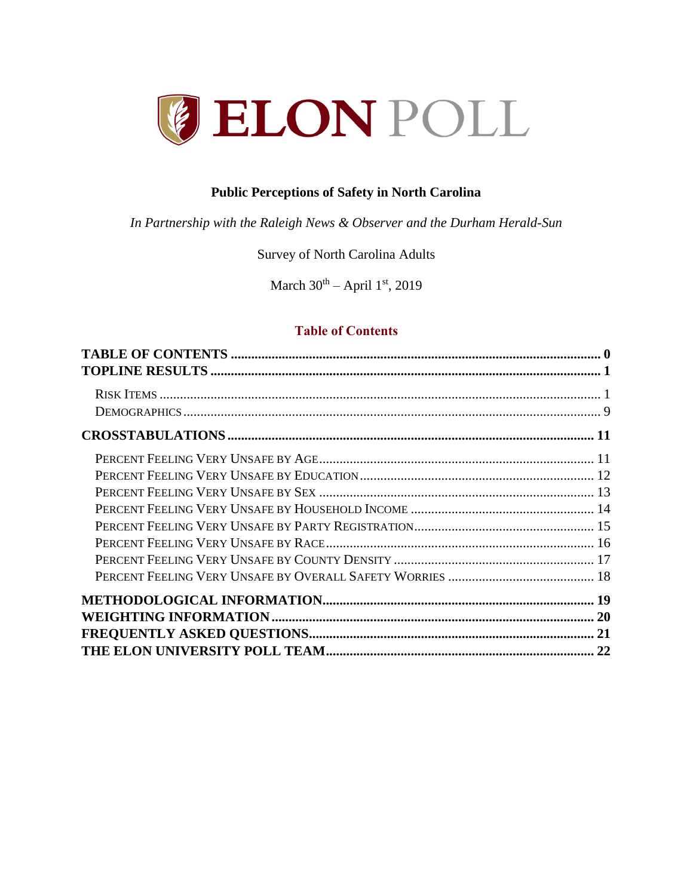

#### **Public Perceptions of Safety in North Carolina**

*In Partnership with the Raleigh News & Observer and the Durham Herald-Sun*

#### Survey of North Carolina Adults

March  $30<sup>th</sup>$  – April 1<sup>st</sup>, 2019

### <span id="page-0-0"></span>**Table of Contents**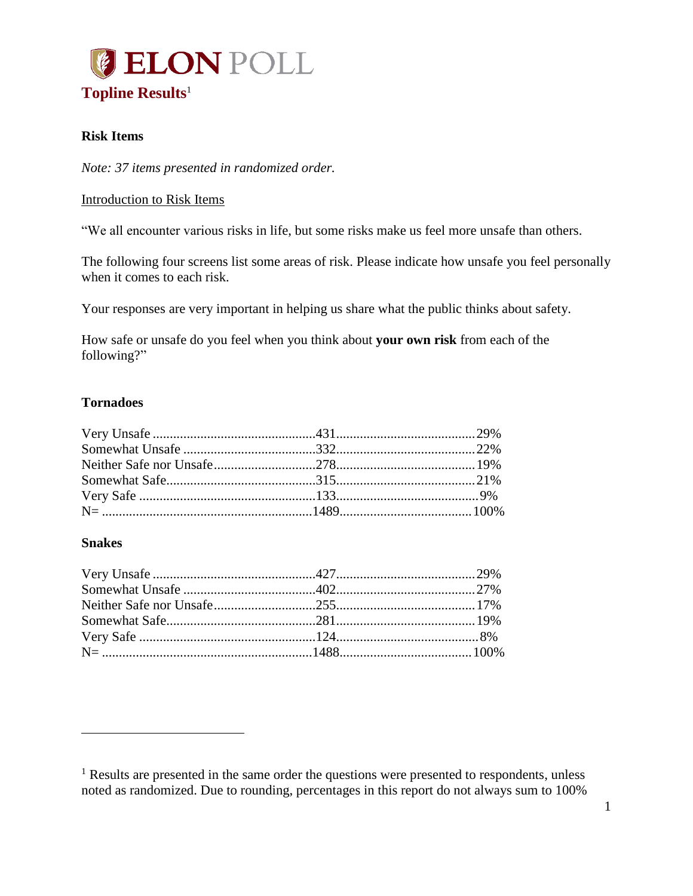<span id="page-1-0"></span>

#### <span id="page-1-1"></span>**Risk Items**

#### *Note: 37 items presented in randomized order.*

#### Introduction to Risk Items

"We all encounter various risks in life, but some risks make us feel more unsafe than others.

The following four screens list some areas of risk. Please indicate how unsafe you feel personally when it comes to each risk.

Your responses are very important in helping us share what the public thinks about safety.

How safe or unsafe do you feel when you think about **your own risk** from each of the following?"

#### **Tornadoes**

#### **Snakes**

 $\overline{a}$ 

<sup>&</sup>lt;sup>1</sup> Results are presented in the same order the questions were presented to respondents, unless noted as randomized. Due to rounding, percentages in this report do not always sum to 100%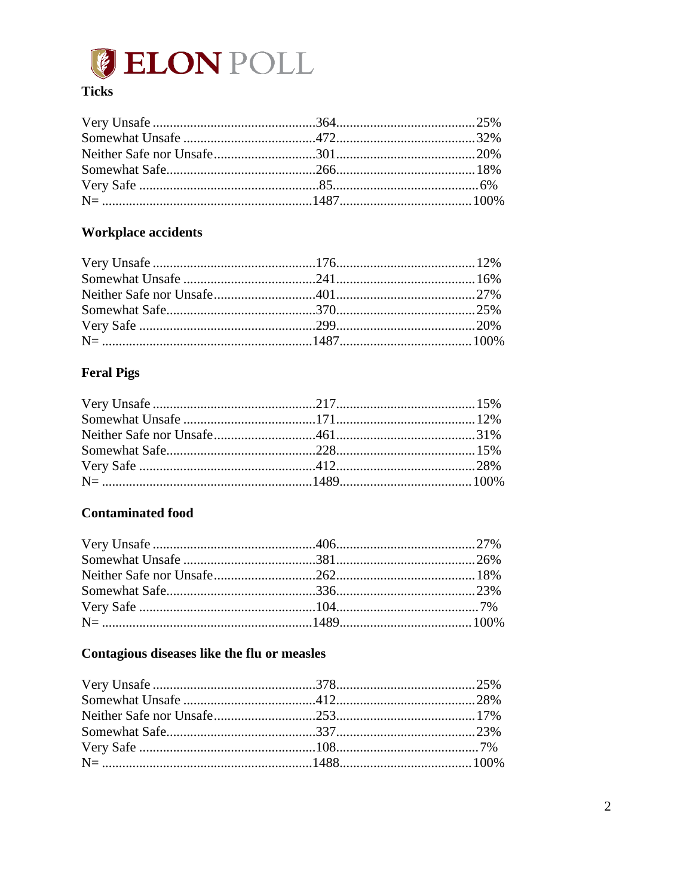

## **Ticks**

## **Workplace accidents**

## **Feral Pigs**

## **Contaminated food**

### Contagious diseases like the flu or measles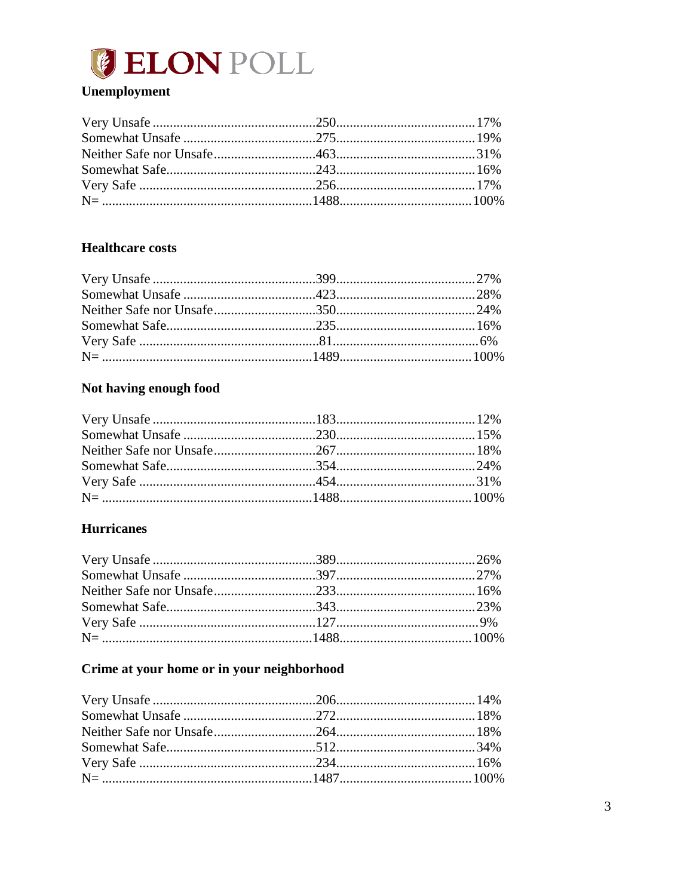

## Unemployment

#### **Healthcare costs**

## Not having enough food

### **Hurricanes**

## Crime at your home or in your neighborhood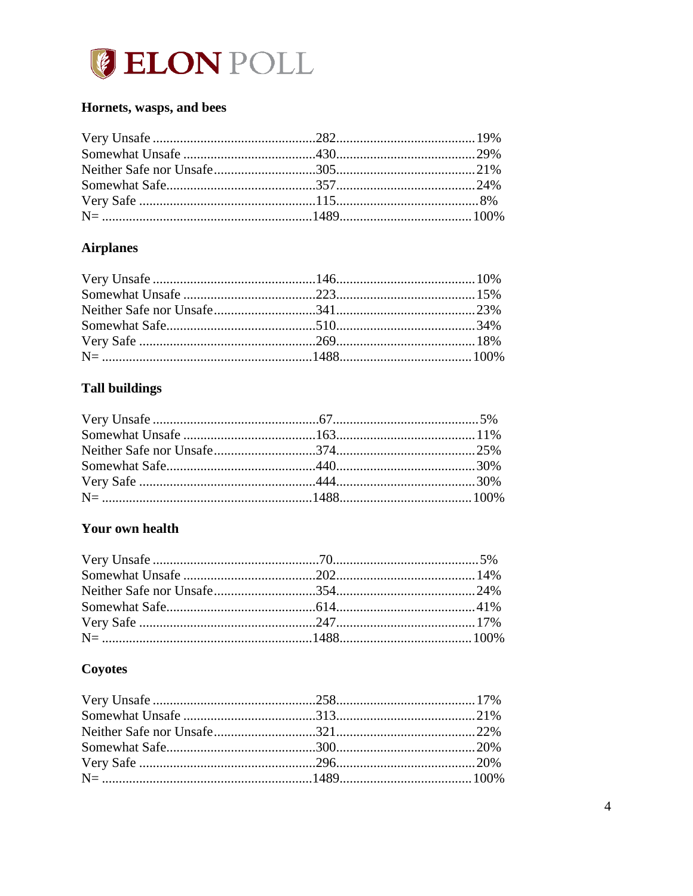

### Hornets, wasps, and bees

## **Airplanes**

# **Tall buildings**

### Your own health

# Coyotes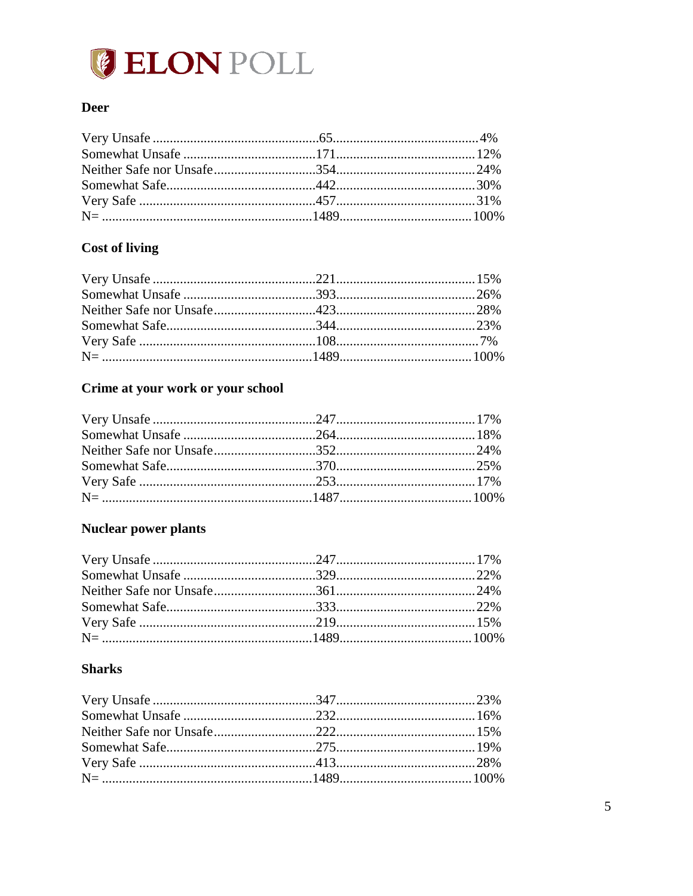

#### **Deer**

## **Cost of living**

# Crime at your work or your school

# Nuclear power plants

## **Sharks**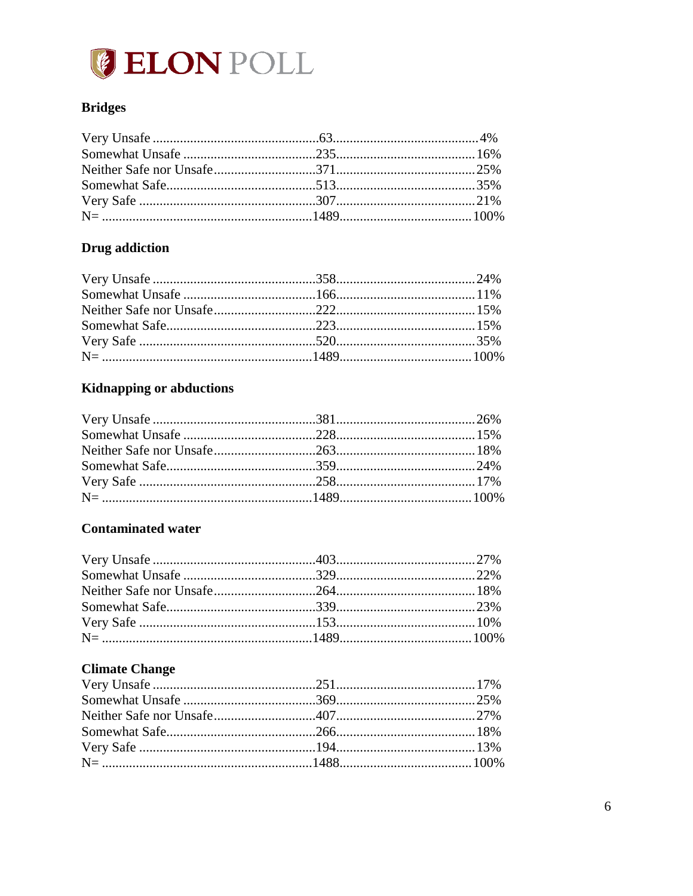

### **Bridges**

## **Drug** addiction

# Kidnapping or abductions

## **Contaminated water**

## **Climate Change**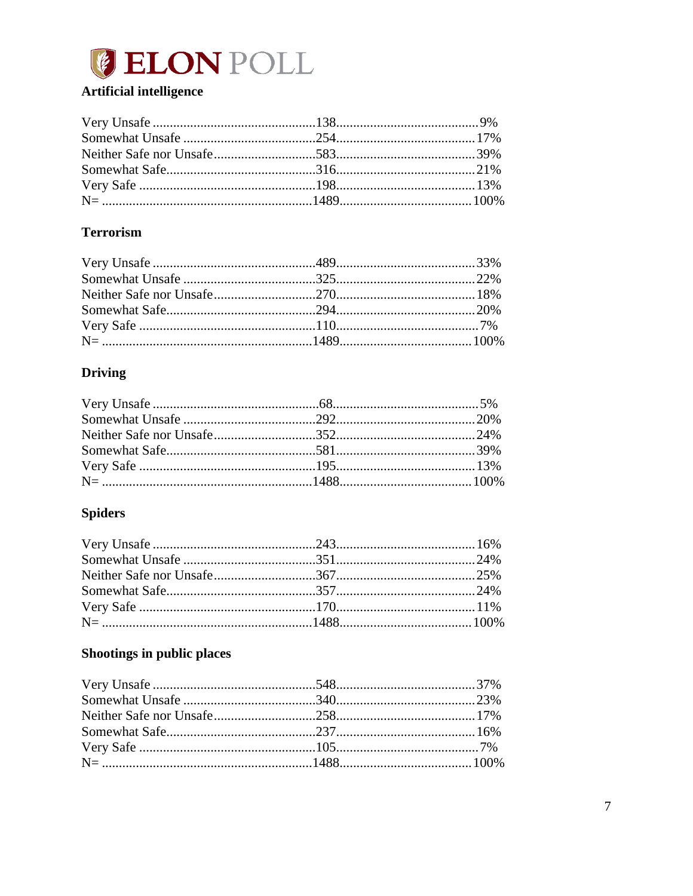

## **Artificial intelligence**

## **Terrorism**

## **Driving**

# **Spiders**

## Shootings in public places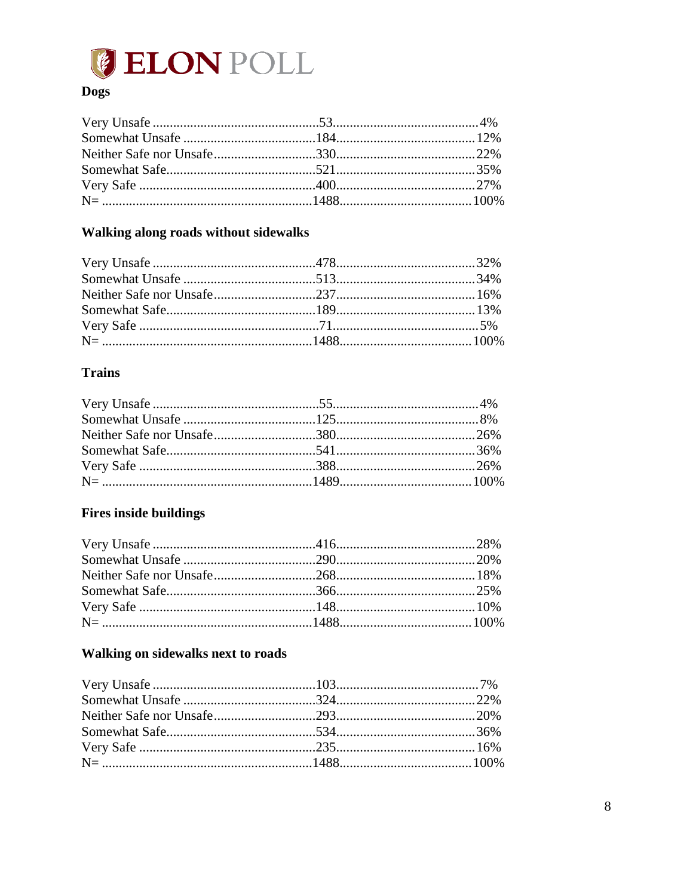

## **Dogs**

## Walking along roads without sidewalks

#### **Trains**

## **Fires inside buildings**

### Walking on sidewalks next to roads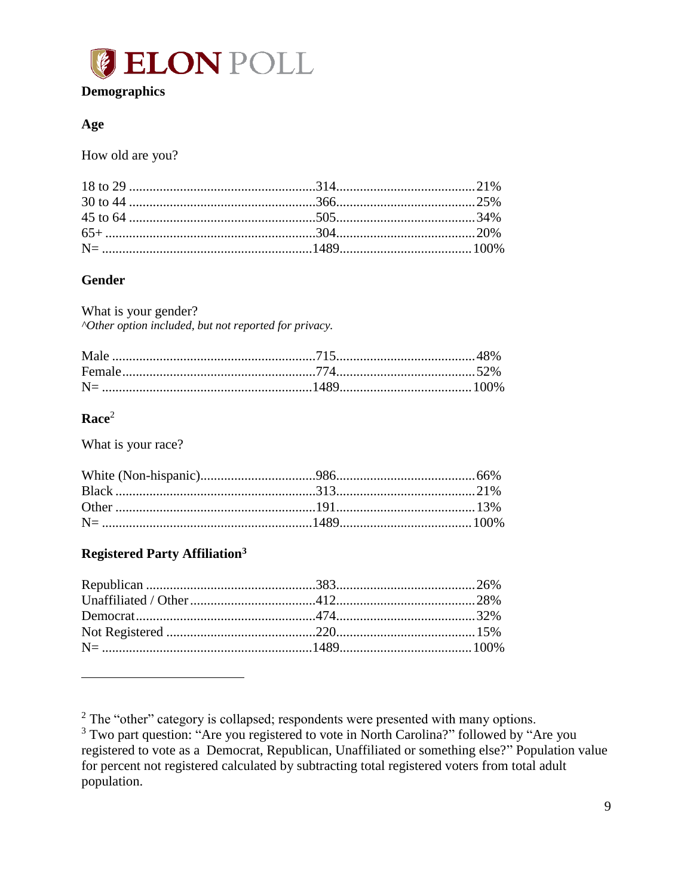

#### <span id="page-9-0"></span>**Demographics**

#### Age

How old are you?

#### **Gender**

What is your gender? "Other option included, but not reported for privacy.

#### $$

What is your race?

#### **Registered Party Affiliation<sup>3</sup>**

 $2$  The "other" category is collapsed; respondents were presented with many options.

<sup>&</sup>lt;sup>3</sup> Two part question: "Are you registered to vote in North Carolina?" followed by "Are you registered to vote as a Democrat, Republican, Unaffiliated or something else?" Population value for percent not registered calculated by subtracting total registered voters from total adult population.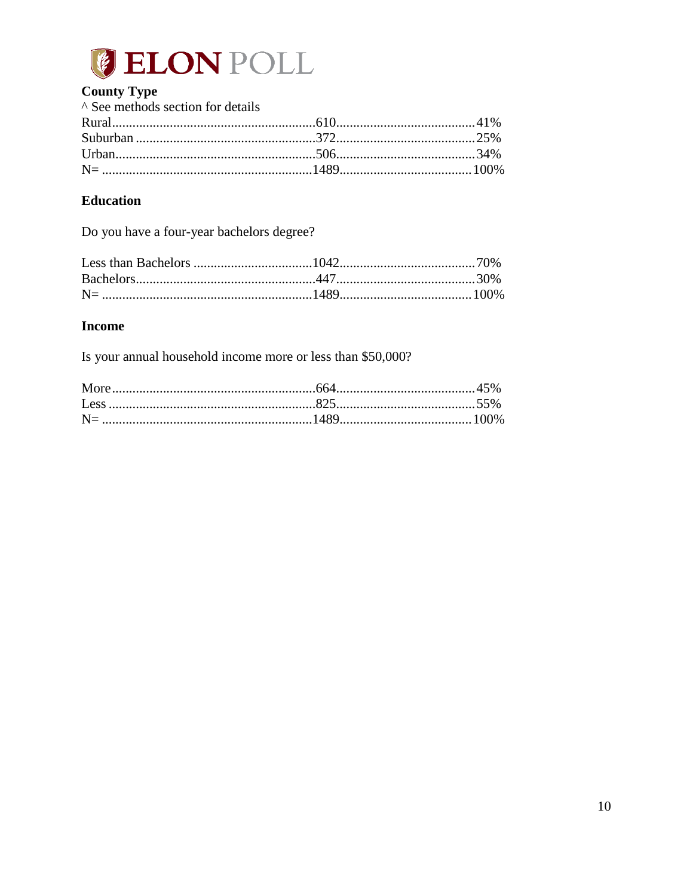

## **County Type**

| A See methods section for details |  |
|-----------------------------------|--|
|                                   |  |
|                                   |  |
|                                   |  |
|                                   |  |

## **Education**

Do you have a four-year bachelors degree?

#### **Income**

Is your annual household income more or less than \$50,000?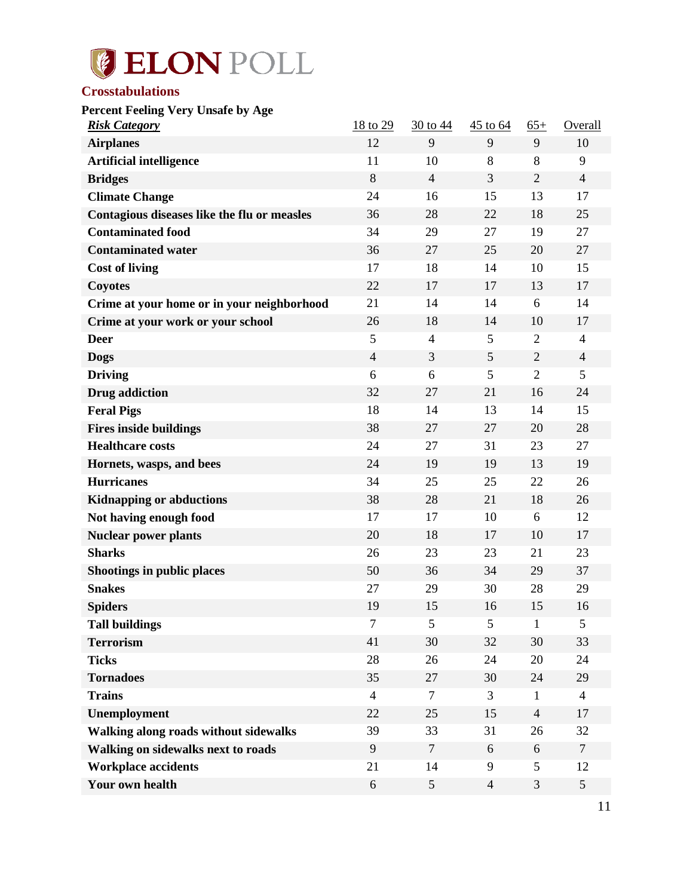

#### <span id="page-11-0"></span>**Crosstabulations**

<span id="page-11-1"></span>**Percent Feeling Very Unsafe by Age**

| <b>Risk Category</b>                        | 18 to 29       | 30 to 44       | 45 to 64       | $65+$          | <b>Overall</b>  |
|---------------------------------------------|----------------|----------------|----------------|----------------|-----------------|
| <b>Airplanes</b>                            | 12             | 9              | 9              | 9              | 10              |
| <b>Artificial intelligence</b>              | 11             | 10             | 8              | 8              | 9               |
| <b>Bridges</b>                              | 8              | $\overline{4}$ | 3              | $\overline{2}$ | $\overline{4}$  |
| <b>Climate Change</b>                       | 24             | 16             | 15             | 13             | 17              |
| Contagious diseases like the flu or measles | 36             | 28             | 22             | 18             | 25              |
| <b>Contaminated food</b>                    | 34             | 29             | 27             | 19             | 27              |
| <b>Contaminated water</b>                   | 36             | 27             | 25             | 20             | 27              |
| <b>Cost of living</b>                       | 17             | 18             | 14             | 10             | 15              |
| <b>Coyotes</b>                              | 22             | 17             | 17             | 13             | 17              |
| Crime at your home or in your neighborhood  | 21             | 14             | 14             | 6              | 14              |
| Crime at your work or your school           | 26             | 18             | 14             | 10             | 17              |
| <b>Deer</b>                                 | 5              | $\overline{4}$ | 5              | $\overline{2}$ | $\overline{4}$  |
| <b>Dogs</b>                                 | $\overline{4}$ | 3              | 5              | $\overline{2}$ | $\overline{4}$  |
| <b>Driving</b>                              | 6              | 6              | 5              | $\overline{2}$ | 5               |
| <b>Drug</b> addiction                       | 32             | 27             | 21             | 16             | 24              |
| <b>Feral Pigs</b>                           | 18             | 14             | 13             | 14             | 15              |
| <b>Fires inside buildings</b>               | 38             | 27             | 27             | 20             | 28              |
| <b>Healthcare costs</b>                     | 24             | 27             | 31             | 23             | 27              |
| Hornets, wasps, and bees                    | 24             | 19             | 19             | 13             | 19              |
| <b>Hurricanes</b>                           | 34             | 25             | 25             | 22             | 26              |
| <b>Kidnapping or abductions</b>             | 38             | 28             | 21             | 18             | 26              |
| Not having enough food                      | 17             | 17             | 10             | 6              | 12              |
| <b>Nuclear power plants</b>                 | 20             | 18             | 17             | 10             | 17              |
| <b>Sharks</b>                               | 26             | 23             | 23             | 21             | 23              |
| <b>Shootings in public places</b>           | 50             | 36             | 34             | 29             | 37              |
| <b>Snakes</b>                               | 27             | 29             | 30             | 28             | 29              |
| <b>Spiders</b>                              | 19             | 15             | 16             | 15             | 16              |
| <b>Tall buildings</b>                       | $\overline{7}$ | 5              | 5              | $\mathbf{1}$   | 5               |
| <b>Terrorism</b>                            | 41             | 30             | 32             | 30             | 33              |
| <b>Ticks</b>                                | 28             | 26             | 24             | 20             | 24              |
| <b>Tornadoes</b>                            | 35             | 27             | 30             | 24             | 29              |
| <b>Trains</b>                               | $\overline{4}$ | $\tau$         | 3              | $\mathbf{1}$   | $\overline{4}$  |
| Unemployment                                | 22             | 25             | 15             | $\overline{4}$ | 17              |
| Walking along roads without sidewalks       | 39             | 33             | 31             | 26             | 32              |
| Walking on sidewalks next to roads          | 9              | $\tau$         | 6              | 6              | $\tau$          |
| <b>Workplace accidents</b>                  | 21             | 14             | 9              | 5              | 12              |
| Your own health                             | 6              | 5              | $\overline{4}$ | 3              | $5\overline{)}$ |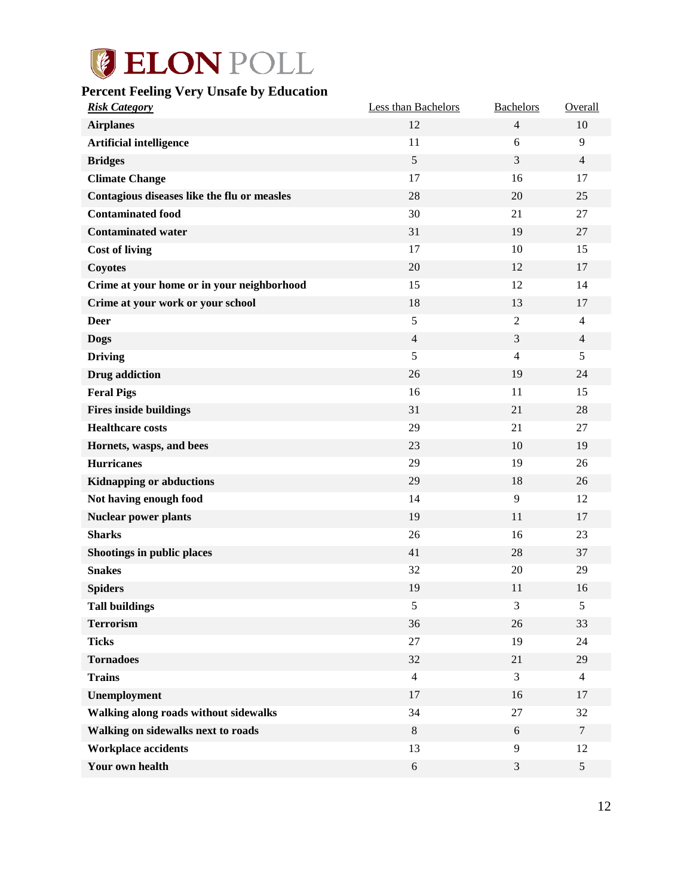# <span id="page-12-0"></span>**Percent Feeling Very Unsafe by Education**

| <b>Risk Category</b>                        | Less than Bachelors | <b>Bachelors</b> | Overall        |
|---------------------------------------------|---------------------|------------------|----------------|
| <b>Airplanes</b>                            | 12                  | $\overline{4}$   | 10             |
| <b>Artificial intelligence</b>              | 11                  | 6                | 9              |
| <b>Bridges</b>                              | 5                   | 3                | $\overline{4}$ |
| <b>Climate Change</b>                       | 17                  | 16               | 17             |
| Contagious diseases like the flu or measles | 28                  | 20               | 25             |
| <b>Contaminated food</b>                    | 30                  | 21               | 27             |
| <b>Contaminated water</b>                   | 31                  | 19               | 27             |
| <b>Cost of living</b>                       | 17                  | 10               | 15             |
| <b>Coyotes</b>                              | $20\,$              | 12               | 17             |
| Crime at your home or in your neighborhood  | 15                  | 12               | 14             |
| Crime at your work or your school           | 18                  | 13               | 17             |
| <b>Deer</b>                                 | 5                   | $\mathfrak{2}$   | $\overline{4}$ |
| <b>Dogs</b>                                 | $\overline{4}$      | 3                | $\overline{4}$ |
| <b>Driving</b>                              | 5                   | $\overline{4}$   | 5              |
| Drug addiction                              | 26                  | 19               | 24             |
| <b>Feral Pigs</b>                           | 16                  | 11               | 15             |
| <b>Fires inside buildings</b>               | 31                  | 21               | 28             |
| <b>Healthcare costs</b>                     | 29                  | 21               | 27             |
| Hornets, wasps, and bees                    | 23                  | 10               | 19             |
| <b>Hurricanes</b>                           | 29                  | 19               | 26             |
| <b>Kidnapping or abductions</b>             | 29                  | 18               | 26             |
| Not having enough food                      | 14                  | 9                | 12             |
| <b>Nuclear power plants</b>                 | 19                  | 11               | 17             |
| <b>Sharks</b>                               | 26                  | 16               | 23             |
| Shootings in public places                  | 41                  | 28               | 37             |
| <b>Snakes</b>                               | 32                  | 20               | 29             |
| <b>Spiders</b>                              | 19                  | 11               | 16             |
| <b>Tall buildings</b>                       | 5                   | 3                | 5              |
| <b>Terrorism</b>                            | 36                  | 26               | 33             |
| <b>Ticks</b>                                | 27                  | 19               | 24             |
| <b>Tornadoes</b>                            | 32                  | 21               | 29             |
| <b>Trains</b>                               | $\overline{4}$      | 3                | $\overline{4}$ |
| Unemployment                                | 17                  | 16               | 17             |
| Walking along roads without sidewalks       | 34                  | $27\,$           | 32             |
| Walking on sidewalks next to roads          | 8                   | 6                | $\overline{7}$ |
| <b>Workplace accidents</b>                  | 13                  | 9                | 12             |
| Your own health                             | $\sqrt{6}$          | $\mathfrak{Z}$   | $\mathfrak{S}$ |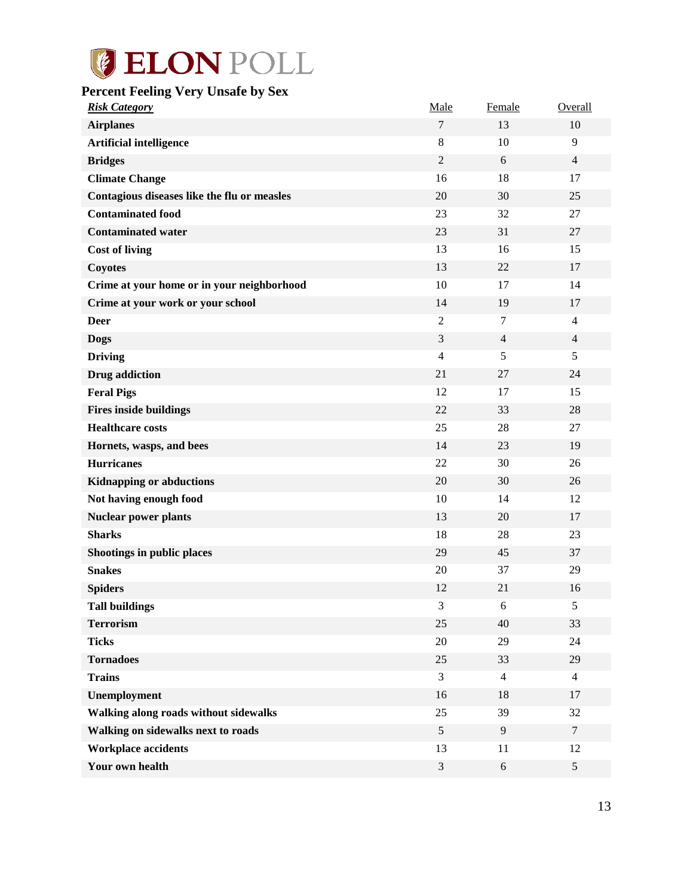# <span id="page-13-0"></span>**Percent Feeling Very Unsafe by Sex**

| <b>Risk Category</b>                        | Male           | Female         | Overall        |
|---------------------------------------------|----------------|----------------|----------------|
| <b>Airplanes</b>                            | $\tau$         | 13             | 10             |
| <b>Artificial intelligence</b>              | 8              | 10             | 9              |
| <b>Bridges</b>                              | $\mathfrak{2}$ | 6              | $\overline{4}$ |
| <b>Climate Change</b>                       | 16             | 18             | 17             |
| Contagious diseases like the flu or measles | 20             | 30             | 25             |
| <b>Contaminated food</b>                    | 23             | 32             | 27             |
| <b>Contaminated water</b>                   | 23             | 31             | 27             |
| <b>Cost of living</b>                       | 13             | 16             | 15             |
| <b>Coyotes</b>                              | 13             | 22             | 17             |
| Crime at your home or in your neighborhood  | 10             | 17             | 14             |
| Crime at your work or your school           | 14             | 19             | 17             |
| <b>Deer</b>                                 | $\mathfrak{2}$ | $\tau$         | $\overline{4}$ |
| <b>Dogs</b>                                 | 3              | $\overline{4}$ | $\overline{4}$ |
| <b>Driving</b>                              | $\overline{4}$ | 5              | 5              |
| Drug addiction                              | 21             | 27             | 24             |
| <b>Feral Pigs</b>                           | 12             | 17             | 15             |
| <b>Fires inside buildings</b>               | 22             | 33             | 28             |
| <b>Healthcare costs</b>                     | 25             | 28             | 27             |
| Hornets, wasps, and bees                    | 14             | 23             | 19             |
| <b>Hurricanes</b>                           | 22             | 30             | 26             |
| <b>Kidnapping or abductions</b>             | 20             | 30             | 26             |
| Not having enough food                      | 10             | 14             | 12             |
| <b>Nuclear power plants</b>                 | 13             | 20             | 17             |
| <b>Sharks</b>                               | 18             | 28             | 23             |
| Shootings in public places                  | 29             | 45             | 37             |
| <b>Snakes</b>                               | 20             | 37             | 29             |
| <b>Spiders</b>                              | 12             | 21             | 16             |
| <b>Tall buildings</b>                       | 3              | 6              | 5              |
| <b>Terrorism</b>                            | 25             | 40             | 33             |
| <b>Ticks</b>                                | 20             | 29             | 24             |
| <b>Tornadoes</b>                            | 25             | 33             | 29             |
| <b>Trains</b>                               | 3              | $\overline{4}$ | $\overline{4}$ |
| Unemployment                                | 16             | 18             | 17             |
| Walking along roads without sidewalks       | 25             | 39             | 32             |
| Walking on sidewalks next to roads          | $\sqrt{5}$     | 9              | $\tau$         |
| <b>Workplace accidents</b>                  | 13             | 11             | 12             |
| Your own health                             | $\mathfrak{Z}$ | $\sqrt{6}$     | 5              |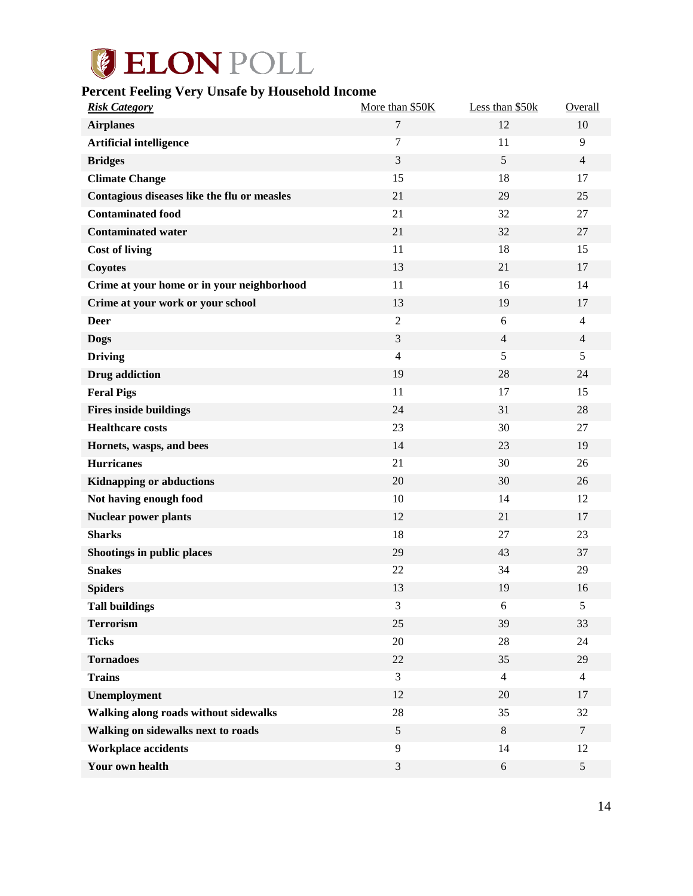### <span id="page-14-0"></span>**Percent Feeling Very Unsafe by Household Income**

| <b>Risk Category</b>                        | More than \$50K  | Less than \$50k | Overall        |
|---------------------------------------------|------------------|-----------------|----------------|
| <b>Airplanes</b>                            | $\boldsymbol{7}$ | 12              | 10             |
| <b>Artificial intelligence</b>              | $\tau$           | 11              | 9              |
| <b>Bridges</b>                              | 3                | 5               | $\overline{4}$ |
| <b>Climate Change</b>                       | 15               | 18              | 17             |
| Contagious diseases like the flu or measles | 21               | 29              | 25             |
| <b>Contaminated food</b>                    | 21               | 32              | 27             |
| <b>Contaminated water</b>                   | 21               | 32              | 27             |
| <b>Cost of living</b>                       | 11               | 18              | 15             |
| <b>Coyotes</b>                              | 13               | 21              | 17             |
| Crime at your home or in your neighborhood  | 11               | 16              | 14             |
| Crime at your work or your school           | 13               | 19              | 17             |
| <b>Deer</b>                                 | $\overline{2}$   | 6               | $\overline{4}$ |
| <b>Dogs</b>                                 | 3                | $\overline{4}$  | $\overline{4}$ |
| <b>Driving</b>                              | $\overline{4}$   | 5               | 5              |
| Drug addiction                              | 19               | 28              | 24             |
| <b>Feral Pigs</b>                           | 11               | 17              | 15             |
| <b>Fires inside buildings</b>               | 24               | 31              | 28             |
| <b>Healthcare costs</b>                     | 23               | 30              | 27             |
| Hornets, wasps, and bees                    | 14               | 23              | 19             |
| <b>Hurricanes</b>                           | 21               | 30              | 26             |
| <b>Kidnapping or abductions</b>             | 20               | 30              | 26             |
| Not having enough food                      | 10               | 14              | 12             |
| <b>Nuclear power plants</b>                 | 12               | 21              | 17             |
| <b>Sharks</b>                               | 18               | 27              | 23             |
| Shootings in public places                  | 29               | 43              | 37             |
| <b>Snakes</b>                               | 22               | 34              | 29             |
| <b>Spiders</b>                              | 13               | 19              | 16             |
| <b>Tall buildings</b>                       | $\mathfrak{Z}$   | $\sqrt{6}$      | 5              |
| <b>Terrorism</b>                            | 25               | 39              | 33             |
| <b>Ticks</b>                                | 20               | 28              | 24             |
| <b>Tornadoes</b>                            | $22\,$           | 35              | 29             |
| <b>Trains</b>                               | 3                | $\overline{4}$  | $\overline{4}$ |
| Unemployment                                | 12               | 20              | 17             |
| Walking along roads without sidewalks       | 28               | 35              | 32             |
| Walking on sidewalks next to roads          | 5                | 8               | $\tau$         |
| <b>Workplace accidents</b>                  | 9                | 14              | 12             |
| Your own health                             | $\mathfrak{Z}$   | $6\,$           | 5 <sup>5</sup> |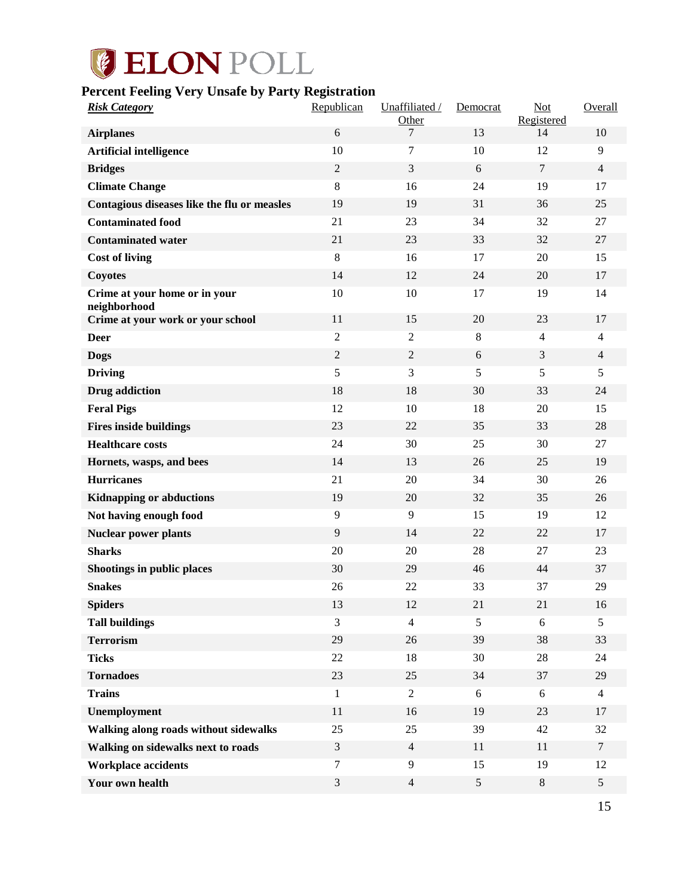## <span id="page-15-0"></span>**Percent Feeling Very Unsafe by Party Registration**

| <b>Risk Category</b>                          | Republican     | Unaffiliated /<br>Other | Democrat | Not<br>Registered | Overall        |
|-----------------------------------------------|----------------|-------------------------|----------|-------------------|----------------|
| <b>Airplanes</b>                              | 6              | 7                       | 13       | 14                | 10             |
| <b>Artificial intelligence</b>                | 10             | 7                       | 10       | 12                | 9              |
| <b>Bridges</b>                                | $\sqrt{2}$     | 3                       | 6        | $\overline{7}$    | $\overline{4}$ |
| <b>Climate Change</b>                         | 8              | 16                      | 24       | 19                | 17             |
| Contagious diseases like the flu or measles   | 19             | 19                      | 31       | 36                | 25             |
| <b>Contaminated food</b>                      | 21             | 23                      | 34       | 32                | 27             |
| <b>Contaminated water</b>                     | 21             | 23                      | 33       | 32                | 27             |
| <b>Cost of living</b>                         | 8              | 16                      | 17       | 20                | 15             |
| Coyotes                                       | 14             | 12                      | 24       | 20                | 17             |
| Crime at your home or in your<br>neighborhood | 10             | 10                      | 17       | 19                | 14             |
| Crime at your work or your school             | 11             | 15                      | 20       | 23                | 17             |
| <b>Deer</b>                                   | $\overline{2}$ | $\overline{2}$          | 8        | $\overline{4}$    | $\overline{4}$ |
| <b>Dogs</b>                                   | $\overline{2}$ | $\overline{2}$          | 6        | 3                 | $\overline{4}$ |
| <b>Driving</b>                                | 5              | 3                       | 5        | 5                 | 5              |
| <b>Drug</b> addiction                         | 18             | 18                      | 30       | 33                | 24             |
| <b>Feral Pigs</b>                             | 12             | 10                      | 18       | 20                | 15             |
| <b>Fires inside buildings</b>                 | 23             | 22                      | 35       | 33                | 28             |
| <b>Healthcare costs</b>                       | 24             | 30                      | 25       | 30                | 27             |
| Hornets, wasps, and bees                      | 14             | 13                      | 26       | 25                | 19             |
| <b>Hurricanes</b>                             | 21             | 20                      | 34       | 30                | 26             |
| <b>Kidnapping or abductions</b>               | 19             | 20                      | 32       | 35                | 26             |
| Not having enough food                        | 9              | 9                       | 15       | 19                | 12             |
| <b>Nuclear power plants</b>                   | 9              | 14                      | 22       | 22                | 17             |
| <b>Sharks</b>                                 | 20             | 20                      | 28       | 27                | 23             |
| Shootings in public places                    | 30             | 29                      | 46       | 44                | 37             |
| <b>Snakes</b>                                 | 26             | 22                      | 33       | 37                | 29             |
| <b>Spiders</b>                                | 13             | 12                      | 21       | 21                | 16             |
| <b>Tall buildings</b>                         | 3              | $\overline{4}$          | 5        | 6                 | 5              |
| <b>Terrorism</b>                              | 29             | 26                      | 39       | 38                | 33             |
| <b>Ticks</b>                                  | $22\,$         | 18                      | 30       | $28\,$            | 24             |
| <b>Tornadoes</b>                              | 23             | 25                      | 34       | 37                | 29             |
| <b>Trains</b>                                 | $\mathbf{1}$   | $\overline{2}$          | 6        | 6                 | $\overline{4}$ |
| Unemployment                                  | 11             | 16                      | 19       | 23                | 17             |
| Walking along roads without sidewalks         | 25             | 25                      | 39       | 42                | 32             |
| Walking on sidewalks next to roads            | $\mathfrak{Z}$ | $\overline{4}$          | 11       | 11                | $\overline{7}$ |
| <b>Workplace accidents</b>                    | $\tau$         | 9                       | 15       | 19                | 12             |
| Your own health                               | 3              | $\overline{4}$          | 5        | $8\,$             | $5\,$          |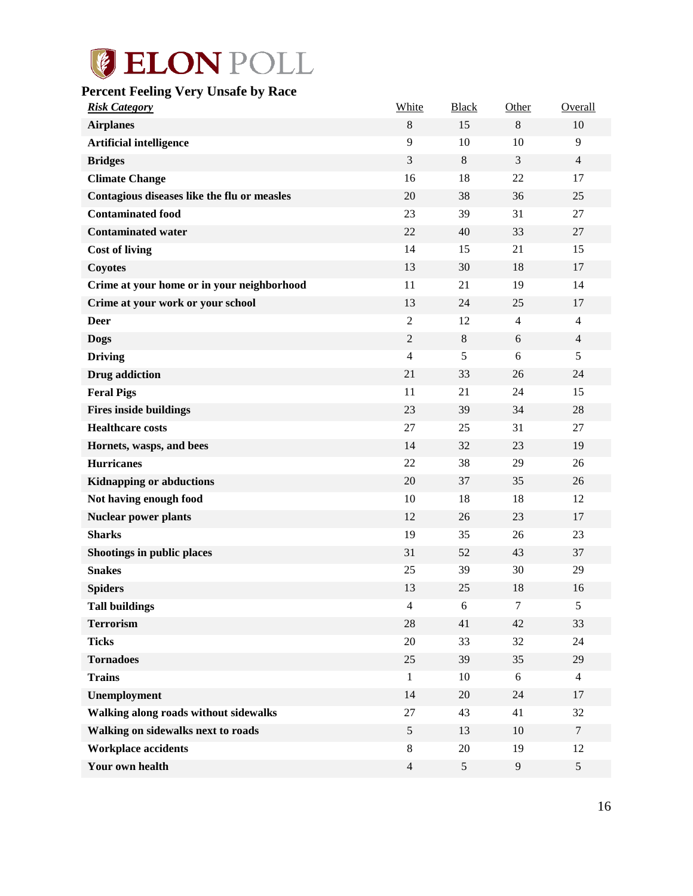# <span id="page-16-0"></span>**Percent Feeling Very Unsafe by Race**

| <b>Risk Category</b>                        | White          | <b>Black</b> | Other          | Overall        |
|---------------------------------------------|----------------|--------------|----------------|----------------|
| <b>Airplanes</b>                            | 8              | 15           | 8              | 10             |
| <b>Artificial intelligence</b>              | 9              | 10           | 10             | 9              |
| <b>Bridges</b>                              | 3              | $\,8\,$      | 3              | $\overline{4}$ |
| <b>Climate Change</b>                       | 16             | 18           | 22             | 17             |
| Contagious diseases like the flu or measles | 20             | 38           | 36             | 25             |
| <b>Contaminated food</b>                    | 23             | 39           | 31             | 27             |
| <b>Contaminated water</b>                   | 22             | 40           | 33             | 27             |
| <b>Cost of living</b>                       | 14             | 15           | 21             | 15             |
| <b>Coyotes</b>                              | 13             | 30           | 18             | 17             |
| Crime at your home or in your neighborhood  | 11             | 21           | 19             | 14             |
| Crime at your work or your school           | 13             | 24           | 25             | 17             |
| <b>Deer</b>                                 | $\overline{c}$ | 12           | $\overline{4}$ | $\overline{4}$ |
| <b>Dogs</b>                                 | $\sqrt{2}$     | 8            | 6              | 4              |
| <b>Driving</b>                              | $\overline{4}$ | 5            | 6              | 5              |
| <b>Drug</b> addiction                       | 21             | 33           | 26             | 24             |
| <b>Feral Pigs</b>                           | 11             | 21           | 24             | 15             |
| <b>Fires inside buildings</b>               | 23             | 39           | 34             | 28             |
| <b>Healthcare costs</b>                     | 27             | 25           | 31             | 27             |
| Hornets, wasps, and bees                    | 14             | 32           | 23             | 19             |
| <b>Hurricanes</b>                           | 22             | 38           | 29             | 26             |
| <b>Kidnapping or abductions</b>             | 20             | 37           | 35             | 26             |
| Not having enough food                      | 10             | 18           | 18             | 12             |
| <b>Nuclear power plants</b>                 | 12             | 26           | 23             | 17             |
| <b>Sharks</b>                               | 19             | 35           | 26             | 23             |
| Shootings in public places                  | 31             | 52           | 43             | 37             |
| <b>Snakes</b>                               | 25             | 39           | 30             | 29             |
| <b>Spiders</b>                              | 13             | 25           | 18             | 16             |
| <b>Tall buildings</b>                       | 4              | 6            | $\tau$         | 5              |
| <b>Terrorism</b>                            | 28             | 41           | 42             | 33             |
| <b>Ticks</b>                                | $20\,$         | 33           | 32             | 24             |
| <b>Tornadoes</b>                            | 25             | 39           | 35             | 29             |
| <b>Trains</b>                               | $\mathbf{1}$   | 10           | 6              | $\overline{4}$ |
| Unemployment                                | 14             | 20           | 24             | 17             |
| Walking along roads without sidewalks       | $27\,$         | 43           | 41             | 32             |
| Walking on sidewalks next to roads          | $\mathfrak s$  | 13           | 10             | $\tau$         |
| <b>Workplace accidents</b>                  | 8              | $20\,$       | 19             | 12             |
| Your own health                             | $\overline{4}$ | 5            | $\overline{9}$ | 5              |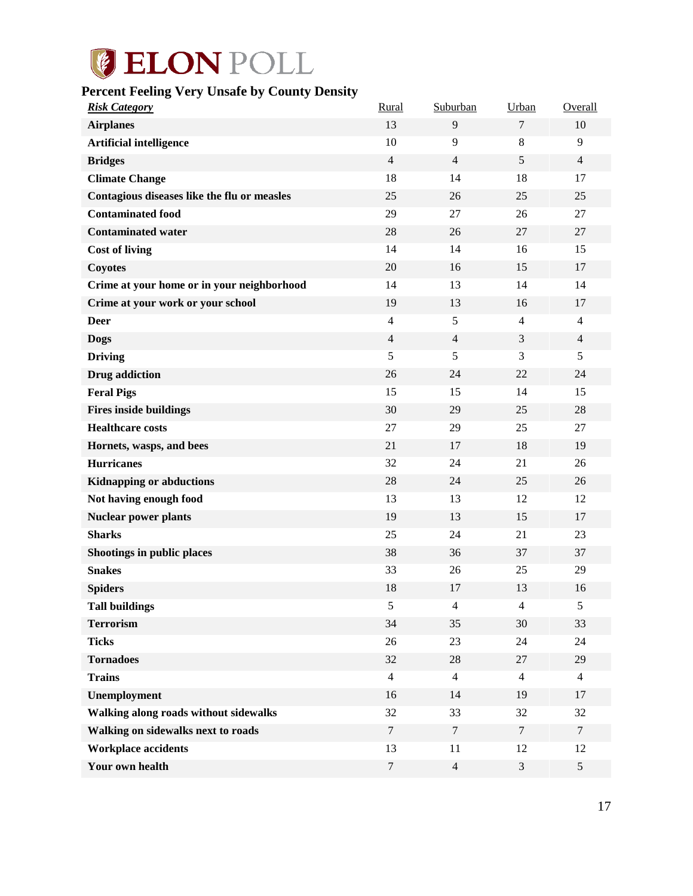# <span id="page-17-0"></span>**Percent Feeling Very Unsafe by County Density**

| <b>Risk Category</b>                        | Rural          | Suburban                | Urban          | Overall        |
|---------------------------------------------|----------------|-------------------------|----------------|----------------|
| <b>Airplanes</b>                            | 13             | 9                       | $\overline{7}$ | 10             |
| <b>Artificial intelligence</b>              | 10             | 9                       | $\,8\,$        | 9              |
| <b>Bridges</b>                              | $\overline{4}$ | $\overline{4}$          | 5              | $\overline{4}$ |
| <b>Climate Change</b>                       | 18             | 14                      | 18             | 17             |
| Contagious diseases like the flu or measles | 25             | 26                      | 25             | 25             |
| <b>Contaminated food</b>                    | 29             | 27                      | 26             | 27             |
| <b>Contaminated water</b>                   | 28             | 26                      | 27             | 27             |
| <b>Cost of living</b>                       | 14             | 14                      | 16             | 15             |
| <b>Coyotes</b>                              | 20             | 16                      | 15             | 17             |
| Crime at your home or in your neighborhood  | 14             | 13                      | 14             | 14             |
| Crime at your work or your school           | 19             | 13                      | 16             | 17             |
| <b>Deer</b>                                 | $\overline{4}$ | 5                       | $\overline{4}$ | $\overline{4}$ |
| <b>Dogs</b>                                 | $\overline{4}$ | $\overline{4}$          | 3              | $\overline{4}$ |
| <b>Driving</b>                              | 5              | 5                       | 3              | 5              |
| <b>Drug</b> addiction                       | 26             | 24                      | 22             | 24             |
| <b>Feral Pigs</b>                           | 15             | 15                      | 14             | 15             |
| <b>Fires inside buildings</b>               | 30             | 29                      | 25             | 28             |
| <b>Healthcare costs</b>                     | 27             | 29                      | 25             | 27             |
| Hornets, wasps, and bees                    | 21             | 17                      | 18             | 19             |
| <b>Hurricanes</b>                           | 32             | 24                      | 21             | 26             |
| <b>Kidnapping or abductions</b>             | 28             | 24                      | 25             | 26             |
| Not having enough food                      | 13             | 13                      | 12             | 12             |
| <b>Nuclear power plants</b>                 | 19             | 13                      | 15             | 17             |
| <b>Sharks</b>                               | 25             | 24                      | 21             | 23             |
| Shootings in public places                  | 38             | 36                      | 37             | 37             |
| <b>Snakes</b>                               | 33             | 26                      | 25             | 29             |
| <b>Spiders</b>                              | 18             | 17                      | 13             | 16             |
| <b>Tall buildings</b>                       | 5              | $\overline{\mathbf{4}}$ | $\overline{4}$ | 5              |
| <b>Terrorism</b>                            | 34             | 35                      | 30             | 33             |
| <b>Ticks</b>                                | 26             | 23                      | 24             | 24             |
| <b>Tornadoes</b>                            | 32             | 28                      | $27\,$         | 29             |
| <b>Trains</b>                               | $\overline{4}$ | $\overline{4}$          | $\overline{4}$ | $\overline{4}$ |
| Unemployment                                | 16             | 14                      | 19             | 17             |
| Walking along roads without sidewalks       | 32             | 33                      | 32             | 32             |
| Walking on sidewalks next to roads          | $\tau$         | $\tau$                  | $\tau$         | $\tau$         |
| <b>Workplace accidents</b>                  | 13             | 11                      | 12             | 12             |
| Your own health                             | $\tau$         | $\overline{4}$          | $\mathfrak z$  | $\mathfrak{S}$ |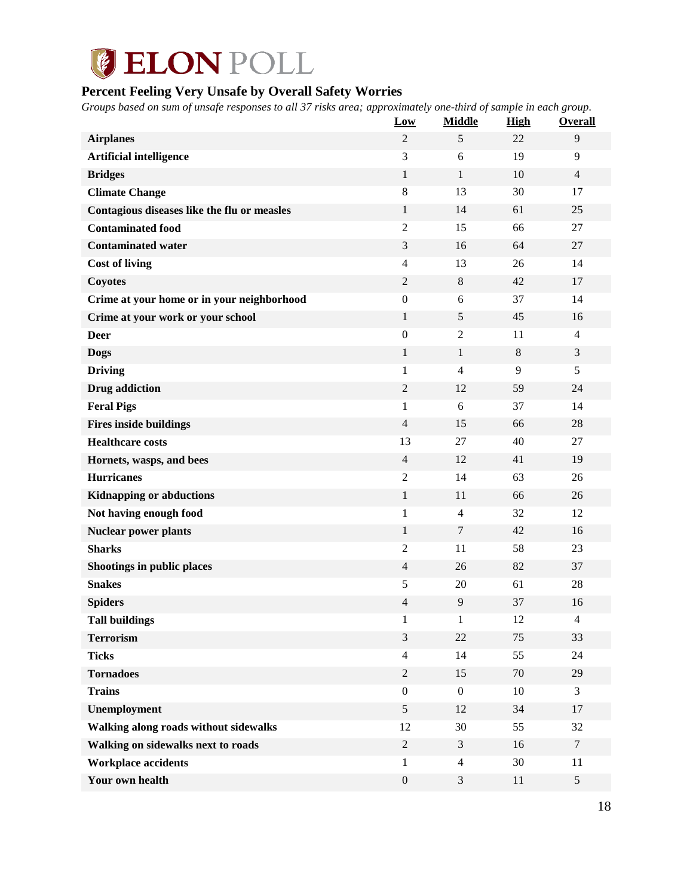# **GELON POLL**

# <span id="page-18-0"></span>**Percent Feeling Very Unsafe by Overall Safety Worries**

*Groups based on sum of unsafe responses to all 37 risks area; approximately one-third of sample in each group.*

|                                             | Low              | <b>Middle</b>  | <b>High</b> | Overall                  |
|---------------------------------------------|------------------|----------------|-------------|--------------------------|
| <b>Airplanes</b>                            | $\overline{2}$   | 5              | 22          | $\overline{9}$           |
| <b>Artificial intelligence</b>              | 3                | 6              | 19          | 9                        |
| <b>Bridges</b>                              | $\mathbf{1}$     | $\mathbf{1}$   | 10          | $\overline{4}$           |
| <b>Climate Change</b>                       | $\,8\,$          | 13             | 30          | 17                       |
| Contagious diseases like the flu or measles | $\mathbf{1}$     | 14             | 61          | 25                       |
| <b>Contaminated food</b>                    | $\overline{2}$   | 15             | 66          | 27                       |
| <b>Contaminated water</b>                   | 3                | 16             | 64          | 27                       |
| <b>Cost of living</b>                       | $\overline{4}$   | 13             | 26          | 14                       |
| <b>Coyotes</b>                              | $\overline{c}$   | $\,8\,$        | 42          | 17                       |
| Crime at your home or in your neighborhood  | $\mathbf{0}$     | 6              | 37          | 14                       |
| Crime at your work or your school           | $\mathbf{1}$     | 5              | 45          | 16                       |
| <b>Deer</b>                                 | $\boldsymbol{0}$ | $\overline{2}$ | 11          | $\overline{4}$           |
| <b>Dogs</b>                                 | $\mathbf{1}$     | $\mathbf{1}$   | 8           | 3                        |
| <b>Driving</b>                              | 1                | $\overline{4}$ | 9           | 5                        |
| <b>Drug</b> addiction                       | $\mathfrak{2}$   | 12             | 59          | 24                       |
| <b>Feral Pigs</b>                           | 1                | 6              | 37          | 14                       |
| <b>Fires inside buildings</b>               | $\overline{4}$   | 15             | 66          | 28                       |
| <b>Healthcare costs</b>                     | 13               | 27             | 40          | 27                       |
| Hornets, wasps, and bees                    | $\overline{4}$   | 12             | 41          | 19                       |
| <b>Hurricanes</b>                           | $\mathfrak{2}$   | 14             | 63          | 26                       |
| <b>Kidnapping or abductions</b>             | $\mathbf{1}$     | 11             | 66          | 26                       |
| Not having enough food                      | 1                | $\overline{4}$ | 32          | 12                       |
| <b>Nuclear power plants</b>                 | $\mathbf{1}$     | 7              | 42          | 16                       |
| <b>Sharks</b>                               | $\mathfrak{2}$   | 11             | 58          | 23                       |
| Shootings in public places                  | $\overline{4}$   | 26             | 82          | 37                       |
| <b>Snakes</b>                               | 5                | 20             | 61          | 28                       |
| <b>Spiders</b>                              | 4                | 9              | 37          | 16                       |
| <b>Tall buildings</b>                       | $\mathbf{1}$     | $\mathbf{1}$   | 12          | $\overline{\mathcal{A}}$ |
| <b>Terrorism</b>                            | 3                | 22             | 75          | 33                       |
| <b>Ticks</b>                                | $\overline{4}$   | 14             | 55          | 24                       |
| <b>Tornadoes</b>                            | $\sqrt{2}$       | 15             | 70          | 29                       |
| <b>Trains</b>                               | $\boldsymbol{0}$ | $\overline{0}$ | 10          | 3                        |
| Unemployment                                | $\mathfrak{S}$   | 12             | 34          | 17                       |
| Walking along roads without sidewalks       | 12               | 30             | 55          | 32                       |
| Walking on sidewalks next to roads          | $\overline{c}$   | 3              | 16          | $\overline{7}$           |
| <b>Workplace accidents</b>                  | $\mathbf{1}$     | $\overline{4}$ | 30          | 11                       |
| Your own health                             | $\boldsymbol{0}$ | $\mathfrak{Z}$ | 11          | $\sqrt{5}$               |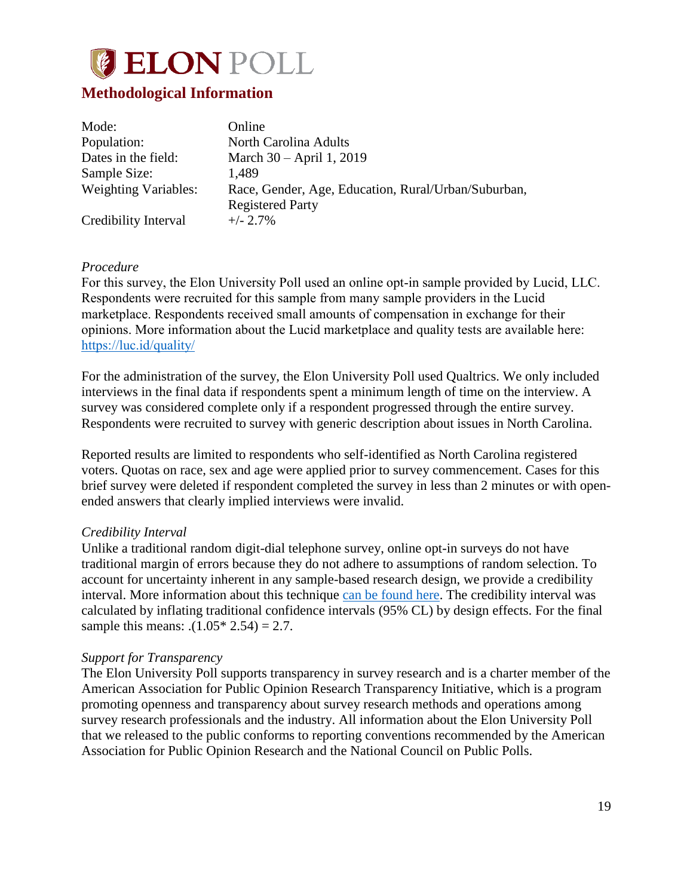

## <span id="page-19-0"></span>**Methodological Information**

| Mode:                       | Online                                              |
|-----------------------------|-----------------------------------------------------|
| Population:                 | North Carolina Adults                               |
| Dates in the field:         | March 30 – April 1, 2019                            |
| Sample Size:                | 1.489                                               |
| <b>Weighting Variables:</b> | Race, Gender, Age, Education, Rural/Urban/Suburban, |
|                             | <b>Registered Party</b>                             |
| Credibility Interval        | $+/- 2.7\%$                                         |

#### *Procedure*

For this survey, the Elon University Poll used an online opt-in sample provided by Lucid, LLC. Respondents were recruited for this sample from many sample providers in the Lucid marketplace. Respondents received small amounts of compensation in exchange for their opinions. More information about the Lucid marketplace and quality tests are available here: <https://luc.id/quality/>

For the administration of the survey, the Elon University Poll used Qualtrics. We only included interviews in the final data if respondents spent a minimum length of time on the interview. A survey was considered complete only if a respondent progressed through the entire survey. Respondents were recruited to survey with generic description about issues in North Carolina.

Reported results are limited to respondents who self-identified as North Carolina registered voters. Quotas on race, sex and age were applied prior to survey commencement. Cases for this brief survey were deleted if respondent completed the survey in less than 2 minutes or with openended answers that clearly implied interviews were invalid.

#### *Credibility Interval*

Unlike a traditional random digit-dial telephone survey, online opt-in surveys do not have traditional margin of errors because they do not adhere to assumptions of random selection. To account for uncertainty inherent in any sample-based research design, we provide a credibility interval. More information about this technique [can be found here.](https://www.aapor.org/Education-Resources/Election-Polling-Resources/Margin-of-Sampling-Error-Credibility-Interval.aspx) The credibility interval was calculated by inflating traditional confidence intervals (95% CL) by design effects. For the final sample this means:  $. (1.05* 2.54) = 2.7$ .

#### *Support for Transparency*

The Elon University Poll supports transparency in survey research and is a charter member of the American Association for Public Opinion Research Transparency Initiative, which is a program promoting openness and transparency about survey research methods and operations among survey research professionals and the industry. All information about the Elon University Poll that we released to the public conforms to reporting conventions recommended by the American Association for Public Opinion Research and the National Council on Public Polls.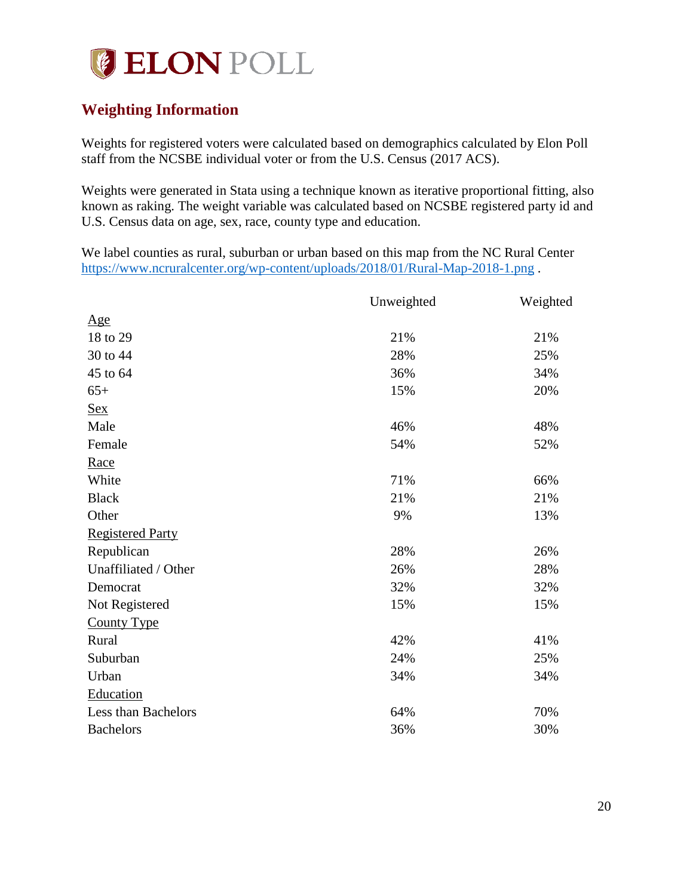# **JELON POLL**

# <span id="page-20-0"></span>**Weighting Information**

Weights for registered voters were calculated based on demographics calculated by Elon Poll staff from the NCSBE individual voter or from the U.S. Census (2017 ACS).

Weights were generated in Stata using a technique known as iterative proportional fitting, also known as raking. The weight variable was calculated based on NCSBE registered party id and U.S. Census data on age, sex, race, county type and education.

We label counties as rural, suburban or urban based on this map from the NC Rural Center <https://www.ncruralcenter.org/wp-content/uploads/2018/01/Rural-Map-2018-1.png> .

|                         | Unweighted | Weighted |
|-------------------------|------------|----------|
| Age                     |            |          |
| 18 to 29                | 21%        | 21%      |
| 30 to 44                | 28%        | 25%      |
| 45 to 64                | 36%        | 34%      |
| $65+$                   | 15%        | 20%      |
| <u>Sex</u>              |            |          |
| Male                    | 46%        | 48%      |
| Female                  | 54%        | 52%      |
| Race                    |            |          |
| White                   | 71%        | 66%      |
| <b>Black</b>            | 21%        | 21%      |
| Other                   | 9%         | 13%      |
| <b>Registered Party</b> |            |          |
| Republican              | 28%        | 26%      |
| Unaffiliated / Other    | 26%        | 28%      |
| Democrat                | 32%        | 32%      |
| Not Registered          | 15%        | 15%      |
| <b>County Type</b>      |            |          |
| Rural                   | 42%        | 41%      |
| Suburban                | 24%        | 25%      |
| Urban                   | 34%        | 34%      |
| Education               |            |          |
| Less than Bachelors     | 64%        | 70%      |
| <b>Bachelors</b>        | 36%        | 30%      |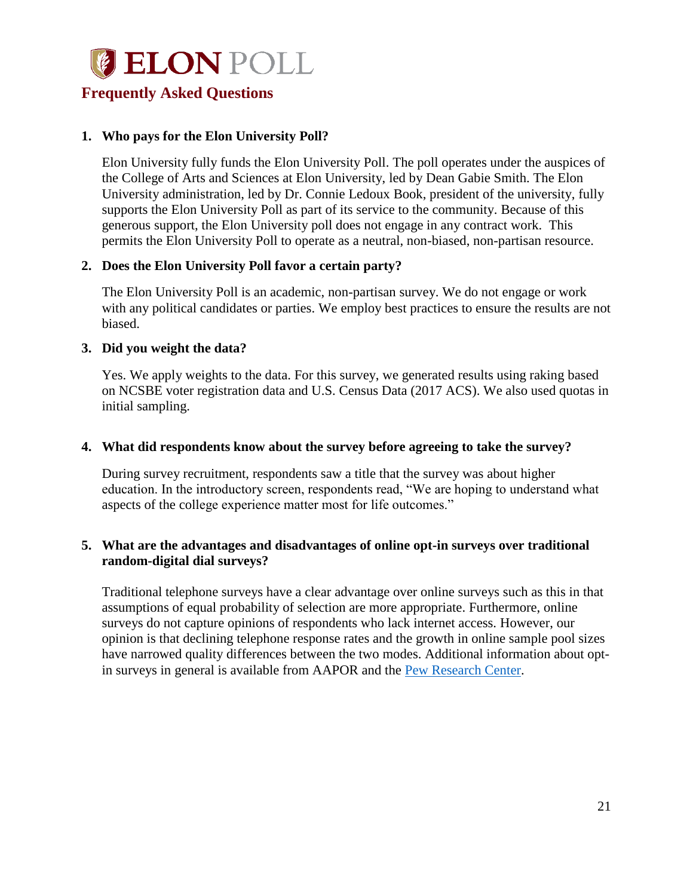## <span id="page-21-0"></span>**Frequently Asked Questions**

#### **1. Who pays for the Elon University Poll?**

Elon University fully funds the Elon University Poll. The poll operates under the auspices of the College of Arts and Sciences at Elon University, led by Dean Gabie Smith. The Elon University administration, led by Dr. Connie Ledoux Book, president of the university, fully supports the Elon University Poll as part of its service to the community. Because of this generous support, the Elon University poll does not engage in any contract work. This permits the Elon University Poll to operate as a neutral, non-biased, non-partisan resource.

#### **2. Does the Elon University Poll favor a certain party?**

The Elon University Poll is an academic, non-partisan survey. We do not engage or work with any political candidates or parties. We employ best practices to ensure the results are not biased.

#### **3. Did you weight the data?**

Yes. We apply weights to the data. For this survey, we generated results using raking based on NCSBE voter registration data and U.S. Census Data (2017 ACS). We also used quotas in initial sampling.

#### **4. What did respondents know about the survey before agreeing to take the survey?**

During survey recruitment, respondents saw a title that the survey was about higher education. In the introductory screen, respondents read, "We are hoping to understand what aspects of the college experience matter most for life outcomes."

#### **5. What are the advantages and disadvantages of online opt-in surveys over traditional random-digital dial surveys?**

Traditional telephone surveys have a clear advantage over online surveys such as this in that assumptions of equal probability of selection are more appropriate. Furthermore, online surveys do not capture opinions of respondents who lack internet access. However, our opinion is that declining telephone response rates and the growth in online sample pool sizes have narrowed quality differences between the two modes. Additional information about opt-in surveys in general is available from AAPOR and the [Pew Research Center.](http://www.pewresearch.org/fact-tank/2018/08/06/what-are-nonprobability-surveys/)